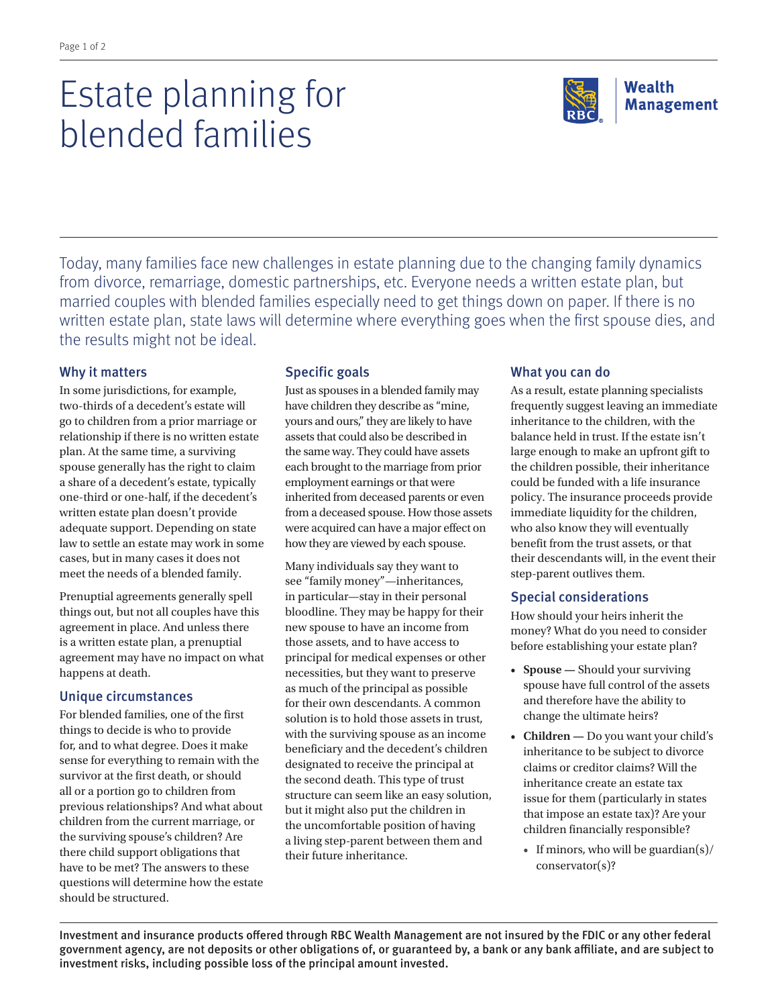# Estate planning for blended families

Today, many families face new challenges in estate planning due to the changing family dynamics from divorce, remarriage, domestic partnerships, etc. Everyone needs a written estate plan, but married couples with blended families especially need to get things down on paper. If there is no written estate plan, state laws will determine where everything goes when the first spouse dies, and the results might not be ideal.

## Why it matters

In some jurisdictions, for example, two-thirds of a decedent's estate will go to children from a prior marriage or relationship if there is no written estate plan. At the same time, a surviving spouse generally has the right to claim a share of a decedent's estate, typically one-third or one-half, if the decedent's written estate plan doesn't provide adequate support. Depending on state law to settle an estate may work in some cases, but in many cases it does not meet the needs of a blended family.

Prenuptial agreements generally spell things out, but not all couples have this agreement in place. And unless there is a written estate plan, a prenuptial agreement may have no impact on what happens at death.

#### Unique circumstances

For blended families, one of the first things to decide is who to provide for, and to what degree. Does it make sense for everything to remain with the survivor at the first death, or should all or a portion go to children from previous relationships? And what about children from the current marriage, or the surviving spouse's children? Are there child support obligations that have to be met? The answers to these questions will determine how the estate should be structured.

## Specific goals

Just as spouses in a blended family may have children they describe as "mine, yours and ours," they are likely to have assets that could also be described in the same way. They could have assets each brought to the marriage from prior employment earnings or that were inherited from deceased parents or even from a deceased spouse. How those assets were acquired can have a major effect on how they are viewed by each spouse.

Many individuals say they want to see "family money"—inheritances, in particular—stay in their personal bloodline. They may be happy for their new spouse to have an income from those assets, and to have access to principal for medical expenses or other necessities, but they want to preserve as much of the principal as possible for their own descendants. A common solution is to hold those assets in trust, with the surviving spouse as an income beneficiary and the decedent's children designated to receive the principal at the second death. This type of trust structure can seem like an easy solution, but it might also put the children in the uncomfortable position of having a living step-parent between them and their future inheritance.

# What you can do

As a result, estate planning specialists frequently suggest leaving an immediate inheritance to the children, with the balance held in trust. If the estate isn't large enough to make an upfront gift to the children possible, their inheritance could be funded with a life insurance policy. The insurance proceeds provide immediate liquidity for the children, who also know they will eventually benefit from the trust assets, or that their descendants will, in the event their step-parent outlives them.

# Special considerations

How should your heirs inherit the money? What do you need to consider before establishing your estate plan?

- **Spouse —** Should your surviving spouse have full control of the assets and therefore have the ability to change the ultimate heirs?
- **Children —** Do you want your child's inheritance to be subject to divorce claims or creditor claims? Will the inheritance create an estate tax issue for them (particularly in states that impose an estate tax)? Are your children financially responsible?
	- If minors, who will be guardian(s)/ conservator(s)?

Investment and insurance products offered through RBC Wealth Management are not insured by the FDIC or any other federal government agency, are not deposits or other obligations of, or guaranteed by, a bank or any bank affiliate, and are subject to investment risks, including possible loss of the principal amount invested.